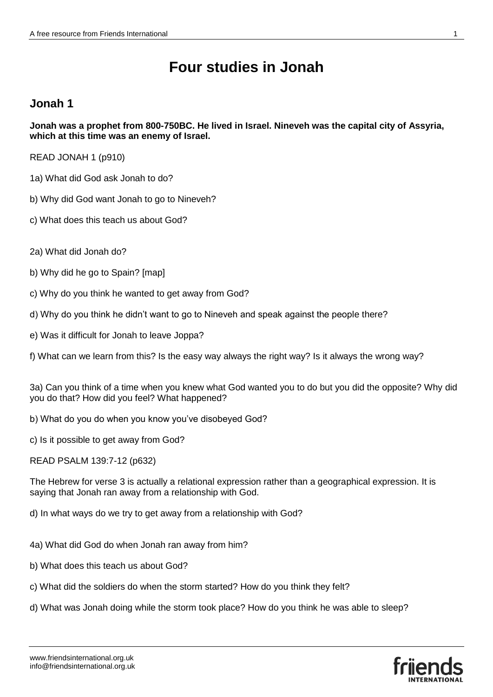# **Four studies in Jonah**

#### **Jonah 1**

**Jonah was a prophet from 800-750BC. He lived in Israel. Nineveh was the capital city of Assyria, which at this time was an enemy of Israel.** 

READ JONAH 1 (p910)

- 1a) What did God ask Jonah to do?
- b) Why did God want Jonah to go to Nineveh?
- c) What does this teach us about God?
- 2a) What did Jonah do?
- b) Why did he go to Spain? [map]
- c) Why do you think he wanted to get away from God?
- d) Why do you think he didn't want to go to Nineveh and speak against the people there?
- e) Was it difficult for Jonah to leave Joppa?
- f) What can we learn from this? Is the easy way always the right way? Is it always the wrong way?

3a) Can you think of a time when you knew what God wanted you to do but you did the opposite? Why did you do that? How did you feel? What happened?

- b) What do you do when you know you've disobeyed God?
- c) Is it possible to get away from God?
- READ PSALM 139:7-12 (p632)

The Hebrew for verse 3 is actually a relational expression rather than a geographical expression. It is saying that Jonah ran away from a relationship with God.

d) In what ways do we try to get away from a relationship with God?

- 4a) What did God do when Jonah ran away from him?
- b) What does this teach us about God?
- c) What did the soldiers do when the storm started? How do you think they felt?
- d) What was Jonah doing while the storm took place? How do you think he was able to sleep?

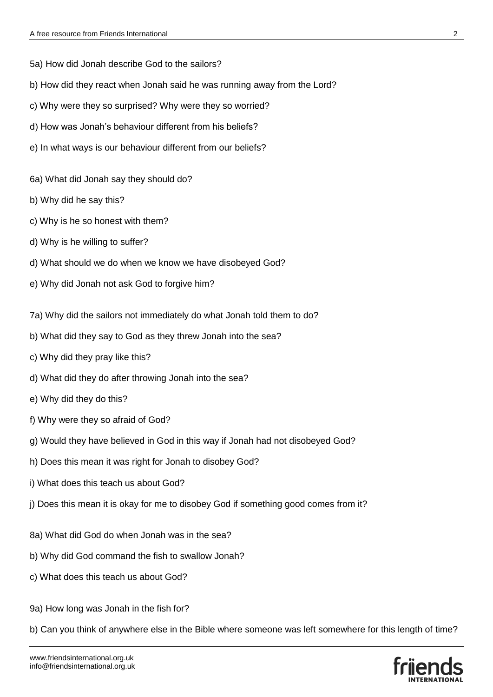5a) How did Jonah describe God to the sailors?

- b) How did they react when Jonah said he was running away from the Lord?
- c) Why were they so surprised? Why were they so worried?
- d) How was Jonah's behaviour different from his beliefs?
- e) In what ways is our behaviour different from our beliefs?
- 6a) What did Jonah say they should do?
- b) Why did he say this?
- c) Why is he so honest with them?
- d) Why is he willing to suffer?
- d) What should we do when we know we have disobeyed God?
- e) Why did Jonah not ask God to forgive him?
- 7a) Why did the sailors not immediately do what Jonah told them to do?
- b) What did they say to God as they threw Jonah into the sea?
- c) Why did they pray like this?
- d) What did they do after throwing Jonah into the sea?
- e) Why did they do this?
- f) Why were they so afraid of God?
- g) Would they have believed in God in this way if Jonah had not disobeyed God?
- h) Does this mean it was right for Jonah to disobey God?
- i) What does this teach us about God?
- j) Does this mean it is okay for me to disobey God if something good comes from it?
- 8a) What did God do when Jonah was in the sea?
- b) Why did God command the fish to swallow Jonah?
- c) What does this teach us about God?
- 9a) How long was Jonah in the fish for?
- b) Can you think of anywhere else in the Bible where someone was left somewhere for this length of time?

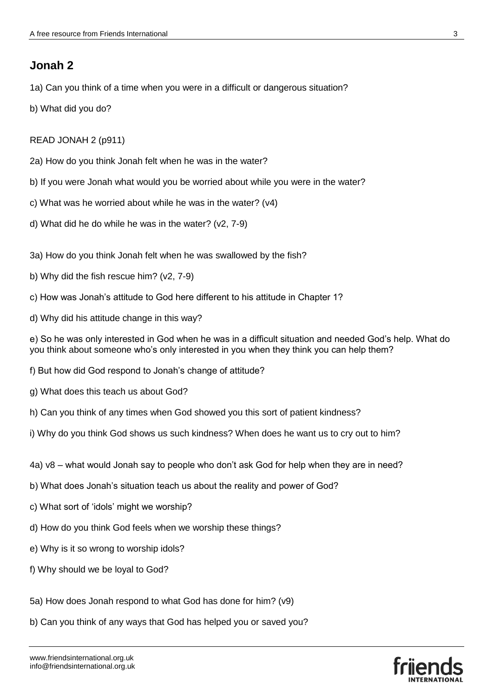### **Jonah 2**

1a) Can you think of a time when you were in a difficult or dangerous situation?

b) What did you do?

READ JONAH 2 (p911)

2a) How do you think Jonah felt when he was in the water?

- b) If you were Jonah what would you be worried about while you were in the water?
- c) What was he worried about while he was in the water? (v4)
- d) What did he do while he was in the water? (v2, 7-9)
- 3a) How do you think Jonah felt when he was swallowed by the fish?
- b) Why did the fish rescue him? (v2, 7-9)
- c) How was Jonah's attitude to God here different to his attitude in Chapter 1?
- d) Why did his attitude change in this way?

e) So he was only interested in God when he was in a difficult situation and needed God's help. What do you think about someone who's only interested in you when they think you can help them?

- f) But how did God respond to Jonah's change of attitude?
- g) What does this teach us about God?
- h) Can you think of any times when God showed you this sort of patient kindness?
- i) Why do you think God shows us such kindness? When does he want us to cry out to him?
- 4a) v8 what would Jonah say to people who don't ask God for help when they are in need?
- b) What does Jonah's situation teach us about the reality and power of God?
- c) What sort of 'idols' might we worship?
- d) How do you think God feels when we worship these things?
- e) Why is it so wrong to worship idols?
- f) Why should we be loyal to God?
- 5a) How does Jonah respond to what God has done for him? (v9)
- b) Can you think of any ways that God has helped you or saved you?

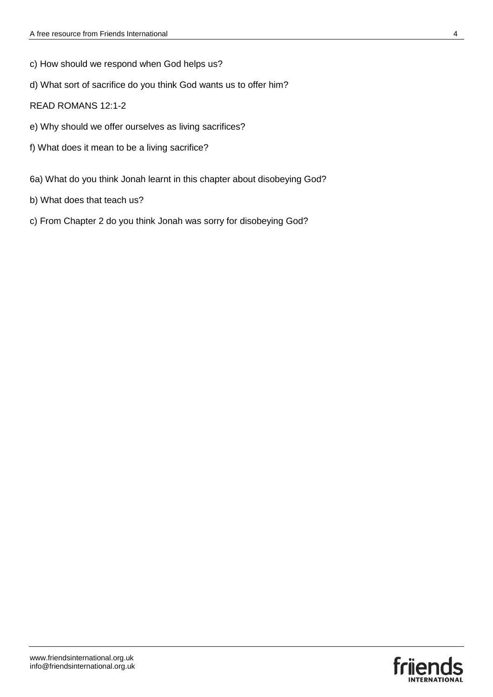- c) How should we respond when God helps us?
- d) What sort of sacrifice do you think God wants us to offer him?
- READ ROMANS 12:1-2
- e) Why should we offer ourselves as living sacrifices?
- f) What does it mean to be a living sacrifice?
- 6a) What do you think Jonah learnt in this chapter about disobeying God?
- b) What does that teach us?
- c) From Chapter 2 do you think Jonah was sorry for disobeying God?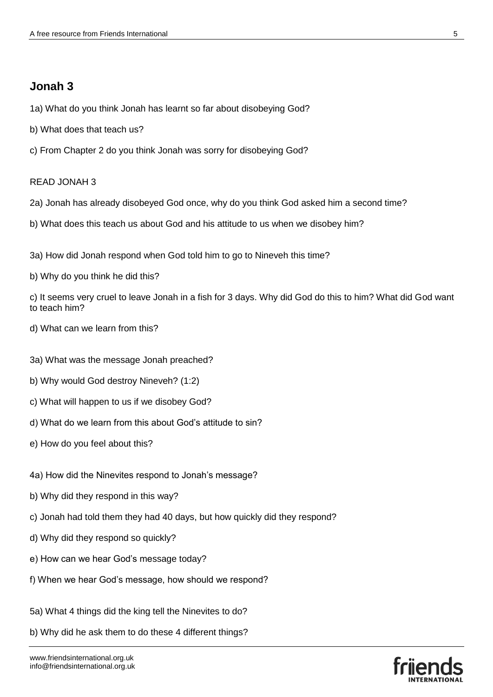### **Jonah 3**

- 1a) What do you think Jonah has learnt so far about disobeying God?
- b) What does that teach us?
- c) From Chapter 2 do you think Jonah was sorry for disobeying God?

#### READ JONAH 3

- 2a) Jonah has already disobeyed God once, why do you think God asked him a second time?
- b) What does this teach us about God and his attitude to us when we disobey him?
- 3a) How did Jonah respond when God told him to go to Nineveh this time?
- b) Why do you think he did this?
- c) It seems very cruel to leave Jonah in a fish for 3 days. Why did God do this to him? What did God want to teach him?
- d) What can we learn from this?
- 3a) What was the message Jonah preached?
- b) Why would God destroy Nineveh? (1:2)
- c) What will happen to us if we disobey God?
- d) What do we learn from this about God's attitude to sin?
- e) How do you feel about this?
- 4a) How did the Ninevites respond to Jonah's message?
- b) Why did they respond in this way?
- c) Jonah had told them they had 40 days, but how quickly did they respond?
- d) Why did they respond so quickly?
- e) How can we hear God's message today?
- f) When we hear God's message, how should we respond?
- 5a) What 4 things did the king tell the Ninevites to do?
- b) Why did he ask them to do these 4 different things?

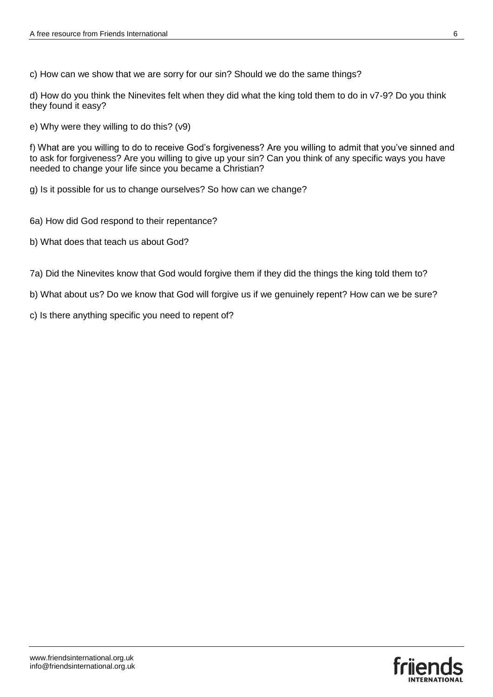c) How can we show that we are sorry for our sin? Should we do the same things?

d) How do you think the Ninevites felt when they did what the king told them to do in v7-9? Do you think they found it easy?

e) Why were they willing to do this? (v9)

f) What are you willing to do to receive God's forgiveness? Are you willing to admit that you've sinned and to ask for forgiveness? Are you willing to give up your sin? Can you think of any specific ways you have needed to change your life since you became a Christian?

g) Is it possible for us to change ourselves? So how can we change?

- 6a) How did God respond to their repentance?
- b) What does that teach us about God?
- 7a) Did the Ninevites know that God would forgive them if they did the things the king told them to?
- b) What about us? Do we know that God will forgive us if we genuinely repent? How can we be sure?
- c) Is there anything specific you need to repent of?

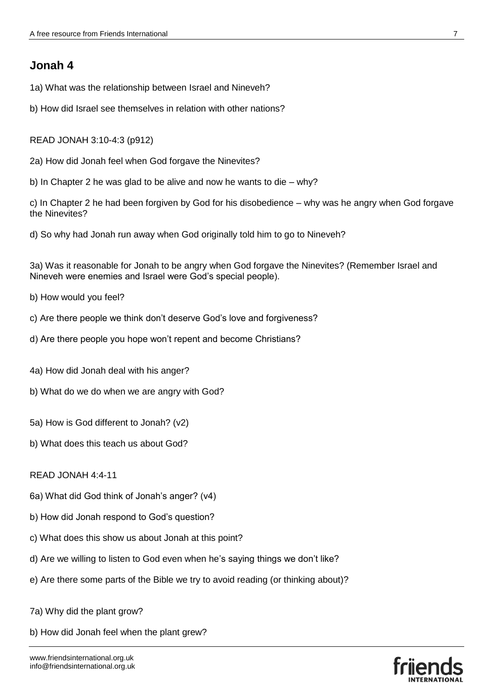## **Jonah 4**

- 1a) What was the relationship between Israel and Nineveh?
- b) How did Israel see themselves in relation with other nations?

READ JONAH 3:10-4:3 (p912)

- 2a) How did Jonah feel when God forgave the Ninevites?
- b) In Chapter 2 he was glad to be alive and now he wants to die why?

c) In Chapter 2 he had been forgiven by God for his disobedience – why was he angry when God forgave the Ninevites?

d) So why had Jonah run away when God originally told him to go to Nineveh?

3a) Was it reasonable for Jonah to be angry when God forgave the Ninevites? (Remember Israel and Nineveh were enemies and Israel were God's special people).

- b) How would you feel?
- c) Are there people we think don't deserve God's love and forgiveness?
- d) Are there people you hope won't repent and become Christians?
- 4a) How did Jonah deal with his anger?
- b) What do we do when we are angry with God?
- 5a) How is God different to Jonah? (v2)
- b) What does this teach us about God?

#### READ JONAH 4:4-11

- 6a) What did God think of Jonah's anger? (v4)
- b) How did Jonah respond to God's question?
- c) What does this show us about Jonah at this point?
- d) Are we willing to listen to God even when he's saying things we don't like?
- e) Are there some parts of the Bible we try to avoid reading (or thinking about)?
- 7a) Why did the plant grow?
- b) How did Jonah feel when the plant grew?

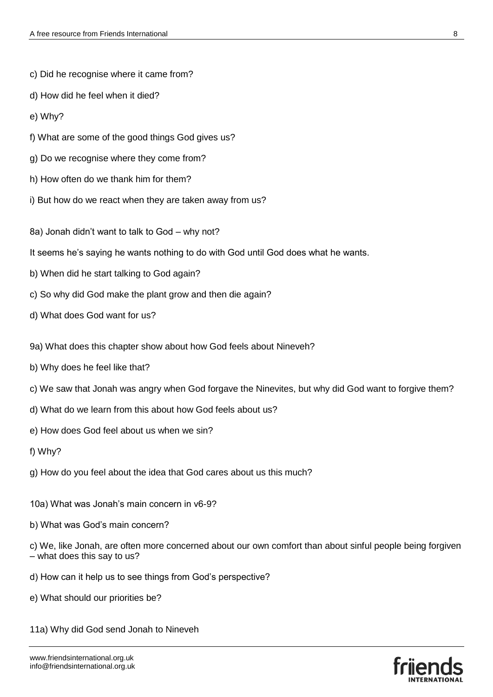- c) Did he recognise where it came from?
- d) How did he feel when it died?
- e) Why?
- f) What are some of the good things God gives us?
- g) Do we recognise where they come from?
- h) How often do we thank him for them?
- i) But how do we react when they are taken away from us?
- 8a) Jonah didn't want to talk to God why not?
- It seems he's saying he wants nothing to do with God until God does what he wants.
- b) When did he start talking to God again?
- c) So why did God make the plant grow and then die again?
- d) What does God want for us?
- 9a) What does this chapter show about how God feels about Nineveh?
- b) Why does he feel like that?
- c) We saw that Jonah was angry when God forgave the Ninevites, but why did God want to forgive them?
- d) What do we learn from this about how God feels about us?
- e) How does God feel about us when we sin?
- f) Why?
- g) How do you feel about the idea that God cares about us this much?
- 10a) What was Jonah's main concern in v6-9?
- b) What was God's main concern?

c) We, like Jonah, are often more concerned about our own comfort than about sinful people being forgiven – what does this say to us?

- d) How can it help us to see things from God's perspective?
- e) What should our priorities be?
- 11a) Why did God send Jonah to Nineveh